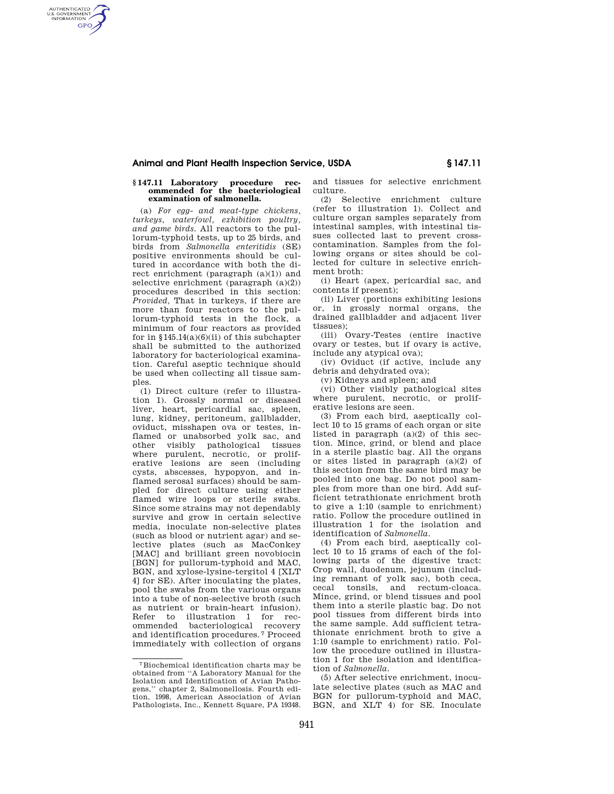## **Animal and Plant Health Inspection Service, USDA § 147.11**

#### **§ 147.11 Laboratory procedure recommended for the bacteriological examination of salmonella.**

AUTHENTICATED<br>U.S. GOVERNMENT<br>INFORMATION **GPO** 

> (a) *For egg- and meat-type chickens, turkeys, waterfowl, exhibition poultry, and game birds.* All reactors to the pullorum-typhoid tests, up to 25 birds, and birds from *Salmonella enteritidis* (SE) positive environments should be cultured in accordance with both the direct enrichment (paragraph (a)(1)) and selective enrichment (paragraph (a)(2)) procedures described in this section: *Provided,* That in turkeys, if there are more than four reactors to the pullorum-typhoid tests in the flock, a minimum of four reactors as provided for in  $$145.14(a)(6)(ii)$  of this subchapter shall be submitted to the authorized laboratory for bacteriological examination. Careful aseptic technique should be used when collecting all tissue samples.

> (1) Direct culture (refer to illustration 1). Grossly normal or diseased liver, heart, pericardial sac, spleen, lung, kidney, peritoneum, gallbladder, oviduct, misshapen ova or testes, inflamed or unabsorbed yolk sac, and other visibly pathological tissues where purulent, necrotic, or proliferative lesions are seen (including cysts, abscesses, hypopyon, and inflamed serosal surfaces) should be sampled for direct culture using either flamed wire loops or sterile swabs. Since some strains may not dependably survive and grow in certain selective media, inoculate non-selective plates (such as blood or nutrient agar) and selective plates (such as MacConkey [MAC] and brilliant green novobiocin [BGN] for pullorum-typhoid and MAC, BGN, and xylose-lysine-tergitol 4 [XLT 4] for SE). After inoculating the plates, pool the swabs from the various organs into a tube of non-selective broth (such as nutrient or brain-heart infusion). Refer to illustration 1 for recommended bacteriological recovery and identification procedures. 7 Proceed immediately with collection of organs

and tissues for selective enrichment culture.

(2) Selective enrichment culture (refer to illustration 1). Collect and culture organ samples separately from intestinal samples, with intestinal tissues collected last to prevent crosscontamination. Samples from the following organs or sites should be collected for culture in selective enrichment broth:

(i) Heart (apex, pericardial sac, and  $control$  if present);

(ii) Liver (portions exhibiting lesions or, in grossly normal organs, the drained gallbladder and adjacent liver tissues);

(iii) Ovary-Testes (entire inactive ovary or testes, but if ovary is active, include any atypical ova);

(iv) Oviduct (if active, include any debris and dehydrated ova);

(v) Kidneys and spleen; and

(vi) Other visibly pathological sites where purulent, necrotic, or proliferative lesions are seen.

(3) From each bird, aseptically collect 10 to 15 grams of each organ or site listed in paragraph  $(a)(2)$  of this section. Mince, grind, or blend and place in a sterile plastic bag. All the organs or sites listed in paragraph (a)(2) of this section from the same bird may be pooled into one bag. Do not pool samples from more than one bird. Add sufficient tetrathionate enrichment broth to give a 1:10 (sample to enrichment) ratio. Follow the procedure outlined in illustration 1 for the isolation and identification of *Salmonella.* 

(4) From each bird, aseptically collect 10 to 15 grams of each of the following parts of the digestive tract: Crop wall, duodenum, jejunum (including remnant of yolk sac), both ceca, cecal tonsils, and rectum-cloaca. Mince, grind, or blend tissues and pool them into a sterile plastic bag. Do not pool tissues from different birds into the same sample. Add sufficient tetrathionate enrichment broth to give a 1:10 (sample to enrichment) ratio. Follow the procedure outlined in illustration 1 for the isolation and identification of *Salmonella.* 

(5) After selective enrichment, inoculate selective plates (such as MAC and BGN for pullorum-typhoid and MAC, BGN, and XLT 4) for SE. Inoculate

<sup>7</sup>Biochemical identification charts may be obtained from ''A Laboratory Manual for the Isolation and Identification of Avian Pathogens,'' chapter 2, Salmonellosis. Fourth edition, 1998, American Association of Avian Pathologists, Inc., Kennett Square, PA 19348.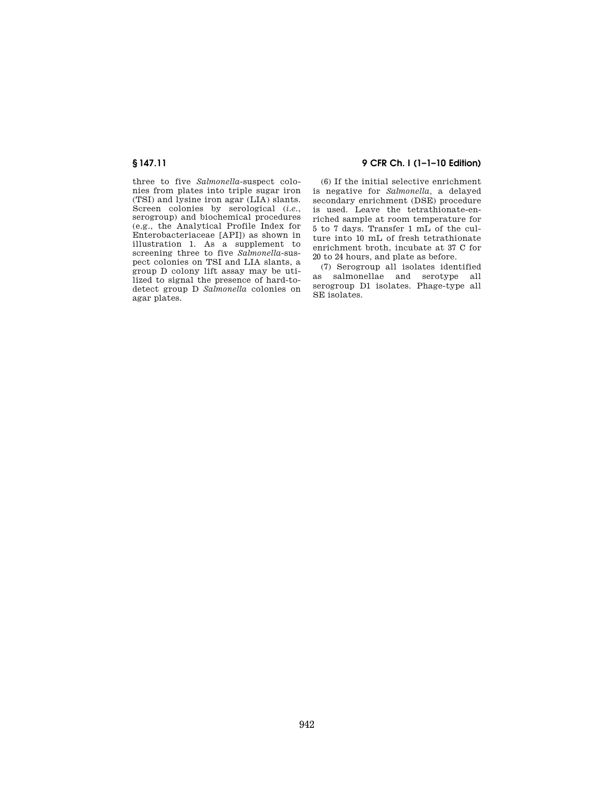three to five *Salmonella*-suspect colonies from plates into triple sugar iron (TSI) and lysine iron agar (LIA) slants. Screen colonies by serological (*i.e.*, serogroup) and biochemical procedures (e.g., the Analytical Profile Index for Enterobacteriaceae [API]) as shown in illustration 1. As a supplement to screening three to five *Salmonella*-suspect colonies on TSI and LIA slants, a group D colony lift assay may be utilized to signal the presence of hard-todetect group D *Salmonella* colonies on agar plates.

# **§ 147.11 9 CFR Ch. I (1–1–10 Edition)**

(6) If the initial selective enrichment is negative for *Salmonella,* a delayed secondary enrichment (DSE) procedure is used. Leave the tetrathionate-enriched sample at room temperature for 5 to 7 days. Transfer 1 mL of the culture into 10 mL of fresh tetrathionate enrichment broth, incubate at 37 C for 20 to 24 hours, and plate as before.

(7) Serogroup all isolates identified as salmonellae and serotype all serogroup D1 isolates. Phage-type all SE isolates.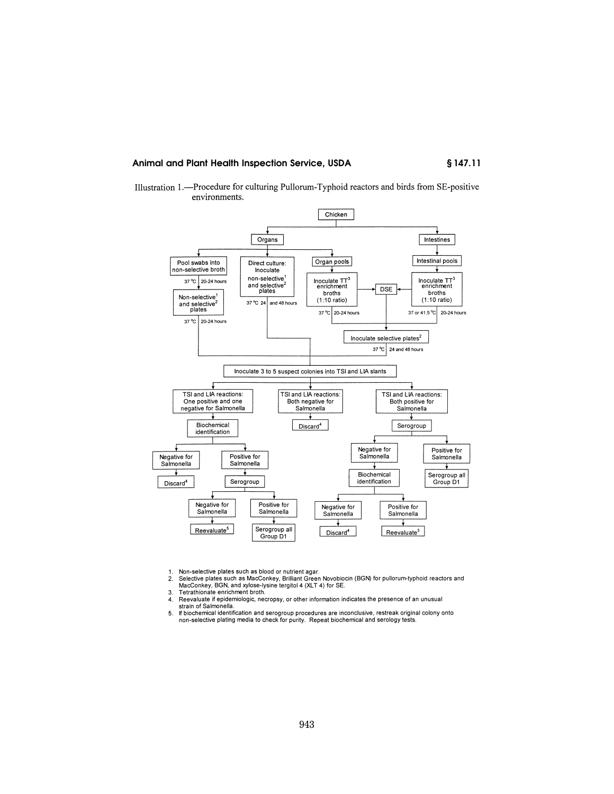Animal and Plant Health Inspection Service, USDA

§147.11





Non-selective plates such as blood or nutrient agar.  $1.$ 

Selective plates such as MacConkey, Brilliant Green Novobiocin (BGN) for pullorum-typhoid reactors and<br>MacConkey, BGN, and xylose-lysine tergitol 4 (XLT 4) for SE.  $2.$ 

3. Tetrathionate enrichment broth.

- Reevaluate if epidemiologic, necropsy, or other information indicates the presence of an unusual  $\overline{4}$ .
- 4. Representation of Salmonella.<br>
5. If biochemical identification and serogroup procedures are inconclusive, restreak original colony onto<br>
10. If biochemical identification and serogroup procedures are inconclusive, rest